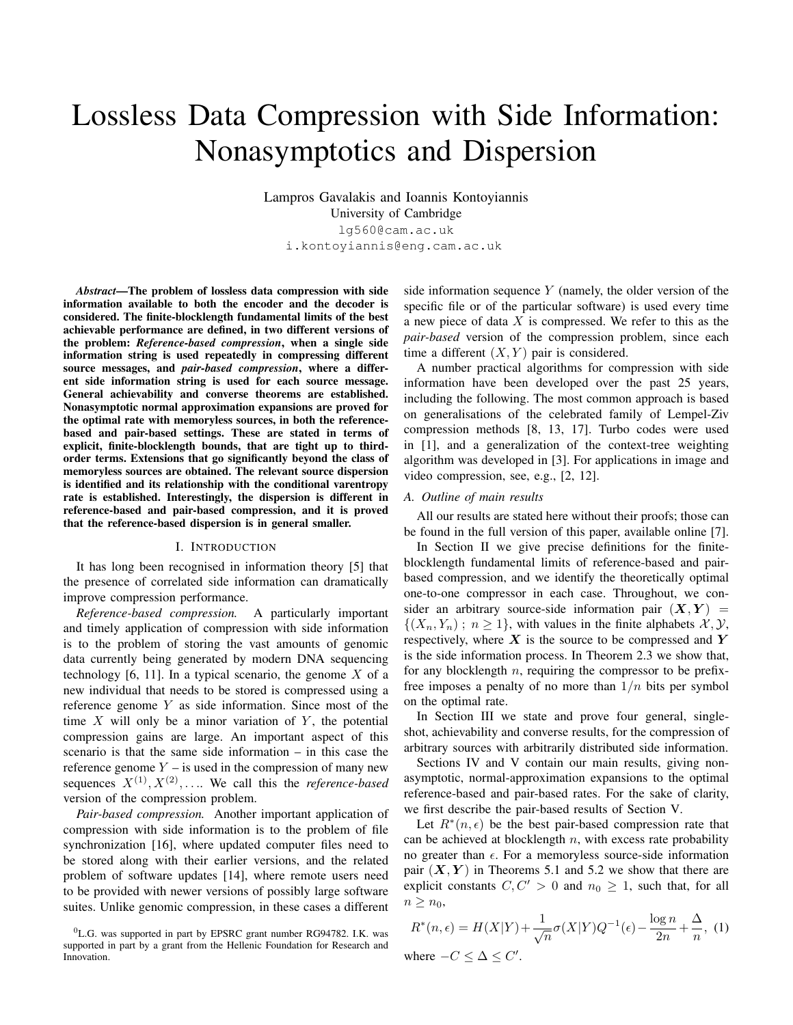# Lossless Data Compression with Side Information: Nonasymptotics and Dispersion

Lampros Gavalakis and Ioannis Kontoyiannis University of Cambridge lg560@cam.ac.uk

i.kontoyiannis@eng.cam.ac.uk

*Abstract*—The problem of lossless data compression with side information available to both the encoder and the decoder is considered. The finite-blocklength fundamental limits of the best achievable performance are defined, in two different versions of the problem: *Reference-based compression*, when a single side information string is used repeatedly in compressing different source messages, and *pair-based compression*, where a different side information string is used for each source message. General achievability and converse theorems are established. Nonasymptotic normal approximation expansions are proved for the optimal rate with memoryless sources, in both the referencebased and pair-based settings. These are stated in terms of explicit, finite-blocklength bounds, that are tight up to thirdorder terms. Extensions that go significantly beyond the class of memoryless sources are obtained. The relevant source dispersion is identified and its relationship with the conditional varentropy rate is established. Interestingly, the dispersion is different in reference-based and pair-based compression, and it is proved that the reference-based dispersion is in general smaller.

## I. INTRODUCTION

It has long been recognised in information theory [5] that the presence of correlated side information can dramatically improve compression performance.

*Reference-based compression.* A particularly important and timely application of compression with side information is to the problem of storing the vast amounts of genomic data currently being generated by modern DNA sequencing technology  $[6, 11]$ . In a typical scenario, the genome X of a new individual that needs to be stored is compressed using a reference genome Y as side information. Since most of the time  $X$  will only be a minor variation of  $Y$ , the potential compression gains are large. An important aspect of this scenario is that the same side information – in this case the reference genome  $Y -$  is used in the compression of many new sequences  $X^{(1)}, X^{(2)}, \ldots$  We call this the *reference-based* version of the compression problem.

*Pair-based compression.* Another important application of compression with side information is to the problem of file synchronization [16], where updated computer files need to be stored along with their earlier versions, and the related problem of software updates [14], where remote users need to be provided with newer versions of possibly large software suites. Unlike genomic compression, in these cases a different

side information sequence  $Y$  (namely, the older version of the specific file or of the particular software) is used every time a new piece of data  $X$  is compressed. We refer to this as the *pair-based* version of the compression problem, since each time a different  $(X, Y)$  pair is considered.

A number practical algorithms for compression with side information have been developed over the past 25 years, including the following. The most common approach is based on generalisations of the celebrated family of Lempel-Ziv compression methods [8, 13, 17]. Turbo codes were used in [1], and a generalization of the context-tree weighting algorithm was developed in [3]. For applications in image and video compression, see, e.g., [2, 12].

#### *A. Outline of main results*

All our results are stated here without their proofs; those can be found in the full version of this paper, available online [7].

In Section II we give precise definitions for the finiteblocklength fundamental limits of reference-based and pairbased compression, and we identify the theoretically optimal one-to-one compressor in each case. Throughout, we consider an arbitrary source-side information pair  $(X, Y)$  =  $\{(X_n, Y_n) : n \geq 1\}$ , with values in the finite alphabets  $\mathcal{X}, \mathcal{Y},$ respectively, where  $X$  is the source to be compressed and  $Y$ is the side information process. In Theorem 2.3 we show that, for any blocklength  $n$ , requiring the compressor to be prefixfree imposes a penalty of no more than  $1/n$  bits per symbol on the optimal rate.

In Section III we state and prove four general, singleshot, achievability and converse results, for the compression of arbitrary sources with arbitrarily distributed side information.

Sections IV and V contain our main results, giving nonasymptotic, normal-approximation expansions to the optimal reference-based and pair-based rates. For the sake of clarity, we first describe the pair-based results of Section V.

Let  $R^*(n, \epsilon)$  be the best pair-based compression rate that can be achieved at blocklength  $n$ , with excess rate probability no greater than  $\epsilon$ . For a memoryless source-side information pair  $(X, Y)$  in Theorems 5.1 and 5.2 we show that there are explicit constants  $C, C' > 0$  and  $n_0 \ge 1$ , such that, for all  $n \geq n_0$ ,

$$
R^*(n, \epsilon) = H(X|Y) + \frac{1}{\sqrt{n}} \sigma(X|Y)Q^{-1}(\epsilon) - \frac{\log n}{2n} + \frac{\Delta}{n},
$$
 (1)  
where  $-C \le \Delta \le C'$ .

 ${}^{0}$ L.G. was supported in part by EPSRC grant number RG94782. I.K. was supported in part by a grant from the Hellenic Foundation for Research and Innovation.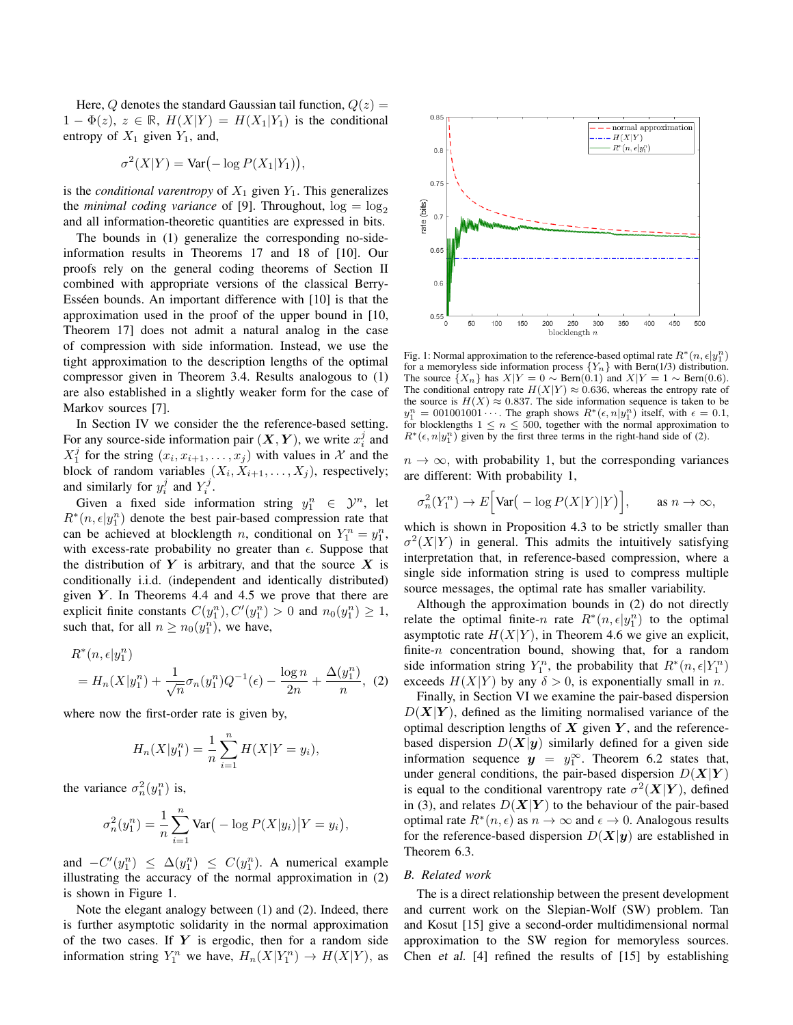Here, Q denotes the standard Gaussian tail function,  $Q(z) =$  $1 - \Phi(z)$ ,  $z \in \mathbb{R}$ ,  $H(X|Y) = H(X_1|Y_1)$  is the conditional entropy of  $X_1$  given  $Y_1$ , and,

$$
\sigma^2(X|Y) = \text{Var}(-\log P(X_1|Y_1)),
$$

is the *conditional varentropy* of  $X_1$  given  $Y_1$ . This generalizes the *minimal coding variance* of [9]. Throughout,  $\log = \log_2$ and all information-theoretic quantities are expressed in bits.

The bounds in (1) generalize the corresponding no-sideinformation results in Theorems 17 and 18 of [10]. Our proofs rely on the general coding theorems of Section II combined with appropriate versions of the classical Berry-Esséen bounds. An important difference with [10] is that the approximation used in the proof of the upper bound in [10, Theorem 17] does not admit a natural analog in the case of compression with side information. Instead, we use the tight approximation to the description lengths of the optimal compressor given in Theorem 3.4. Results analogous to (1) are also established in a slightly weaker form for the case of Markov sources [7].

In Section IV we consider the the reference-based setting. For any source-side information pair  $(X, Y)$ , we write  $x_i^j$  and  $X_1^j$  for the string  $(x_i, x_{i+1}, \ldots, x_j)$  with values in X and the block of random variables  $(X_i, X_{i+1}, \ldots, X_j)$ , respectively; and similarly for  $y_i^j$  and  $Y_i^j$ .

Given a fixed side information string  $y_1^n \in \mathcal{Y}^n$ , let  $R^*(n, \epsilon | y_1^n)$  denote the best pair-based compression rate that can be achieved at blocklength *n*, conditional on  $Y_1^n = y_1^n$ , with excess-rate probability no greater than  $\epsilon$ . Suppose that the distribution of  $Y$  is arbitrary, and that the source  $X$  is conditionally i.i.d. (independent and identically distributed) given  $Y$ . In Theorems 4.4 and 4.5 we prove that there are explicit finite constants  $C(y_1^n), C'(y_1^n) > 0$  and  $n_0(y_1^n) \ge 1$ , such that, for all  $n \ge n_0(y_1^n)$ , we have,

$$
R^*(n, \epsilon | y_1^n)
$$
  
=  $H_n(X | y_1^n) + \frac{1}{\sqrt{n}} \sigma_n(y_1^n) Q^{-1}(\epsilon) - \frac{\log n}{2n} + \frac{\Delta(y_1^n)}{n}, (2)$ 

where now the first-order rate is given by,

$$
H_n(X|y_1^n) = \frac{1}{n} \sum_{i=1}^n H(X|Y=y_i),
$$

the variance  $\sigma_n^2(y_1^n)$  is,

$$
\sigma_n^2(y_1^n) = \frac{1}{n} \sum_{i=1}^n \text{Var}(-\log P(X|y_i)|Y = y_i),
$$

and  $-C'(y_1^n) \leq \Delta(y_1^n) \leq C(y_1^n)$ . A numerical example illustrating the accuracy of the normal approximation in (2) is shown in Figure 1.

Note the elegant analogy between (1) and (2). Indeed, there is further asymptotic solidarity in the normal approximation of the two cases. If  $Y$  is ergodic, then for a random side information string  $Y_1^n$  we have,  $H_n(X|Y_1^n) \to H(X|Y)$ , as



Fig. 1: Normal approximation to the reference-based optimal rate  $R^*(n, \epsilon | y_1^n)$ for a memoryless side information process  ${Y_n}$  with Bern(1/3) distribution. The source  $\{X_n\}$  has  $X|Y = 0 \sim \text{Bern}(0.1)$  and  $X|Y = 1 \sim \text{Bern}(0.6)$ . The conditional entropy rate  $H(X|Y) \approx 0.636$ , whereas the entropy rate of the source is  $H(X) \approx 0.837$ . The side information sequence is taken to be  $y_1^n = 001001001 \cdots$  The graph shows  $R^*(\epsilon, n|y_1^n)$  itself, with  $\epsilon = 0.1$ , for blocklengths  $1 \leq n \leq 500$ , together with the normal approximation to  $R^*(\epsilon, n|y_1^n)$  given by the first three terms in the right-hand side of (2).

 $n \to \infty$ , with probability 1, but the corresponding variances are different: With probability 1,

$$
\sigma_n^2(Y_1^n) \to E\Big[\text{Var}\big(-\log P(X|Y)|Y\big)\Big], \qquad \text{as } n \to \infty,
$$

which is shown in Proposition 4.3 to be strictly smaller than  $\sigma^2(X|Y)$  in general. This admits the intuitively satisfying interpretation that, in reference-based compression, where a single side information string is used to compress multiple source messages, the optimal rate has smaller variability.

Although the approximation bounds in (2) do not directly relate the optimal finite-n rate  $R^*(n, \epsilon | y_1^n)$  to the optimal asymptotic rate  $H(X|Y)$ , in Theorem 4.6 we give an explicit, finite-n concentration bound, showing that, for a random side information string  $Y_1^n$ , the probability that  $R^*(n, \epsilon|Y_1^n)$ exceeds  $H(X|Y)$  by any  $\delta > 0$ , is exponentially small in n.

Finally, in Section VI we examine the pair-based dispersion  $D(X|Y)$ , defined as the limiting normalised variance of the optimal description lengths of  $X$  given  $Y$ , and the referencebased dispersion  $D(X|y)$  similarly defined for a given side information sequence  $y = y_1^{\infty}$ . Theorem 6.2 states that, under general conditions, the pair-based dispersion  $D(X|Y)$ is equal to the conditional varentropy rate  $\sigma^2(X|Y)$ , defined in (3), and relates  $D(X|Y)$  to the behaviour of the pair-based optimal rate  $R^*(n, \epsilon)$  as  $n \to \infty$  and  $\epsilon \to 0$ . Analogous results for the reference-based dispersion  $D(X|y)$  are established in Theorem 6.3.

## *B. Related work*

The is a direct relationship between the present development and current work on the Slepian-Wolf (SW) problem. Tan and Kosut [15] give a second-order multidimensional normal approximation to the SW region for memoryless sources. Chen et al. [4] refined the results of [15] by establishing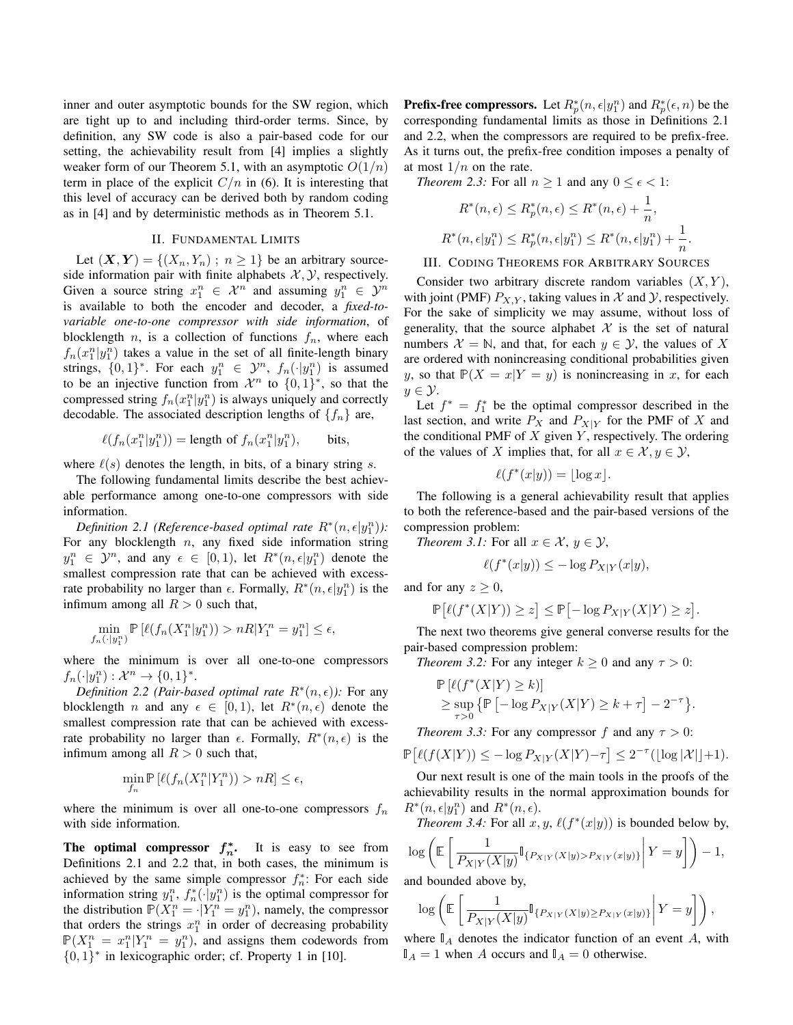inner and outer asymptotic bounds for the SW region, which are tight up to and including third-order terms. Since, by definition, any SW code is also a pair-based code for our setting, the achievability result from [4] implies a slightly weaker form of our Theorem 5.1, with an asymptotic  $O(1/n)$ term in place of the explicit  $C/n$  in (6). It is interesting that this level of accuracy can be derived both by random coding as in [4] and by deterministic methods as in Theorem 5.1.

## II. FUNDAMENTAL LIMITS

Let  $(X, Y) = \{(X_n, Y_n) ; n \geq 1\}$  be an arbitrary sourceside information pair with finite alphabets  $X, Y$ , respectively. Given a source string  $x_1^n \in \mathcal{X}^n$  and assuming  $y_1^n \in \mathcal{Y}^n$ is available to both the encoder and decoder, a *fixed-tovariable one-to-one compressor with side information*, of blocklength *n*, is a collection of functions  $f_n$ , where each  $f_n(x_1^n|y_1^n)$  takes a value in the set of all finite-length binary strings,  $\{0,1\}^*$ . For each  $y_1^n \in \mathcal{Y}^n$ ,  $f_n(\cdot | y_1^n)$  is assumed to be an injective function from  $\mathcal{X}^n$  to  $\{0,1\}^*$ , so that the compressed string  $f_n(x_1^n|y_1^n)$  is always uniquely and correctly decodable. The associated description lengths of  $\{f_n\}$  are,

$$
\ell(f_n(x_1^n|y_1^n)) = \text{length of } f_n(x_1^n|y_1^n), \quad \text{bits},
$$

where  $\ell(s)$  denotes the length, in bits, of a binary string s.

The following fundamental limits describe the best achievable performance among one-to-one compressors with side information.

Definition 2.1 (Reference-based optimal rate  $R^*(n, \epsilon | y_1^n)$ ): For any blocklength  $n$ , any fixed side information string  $y_1^n \in \mathcal{Y}^n$ , and any  $\epsilon \in [0,1)$ , let  $R^*(n, \epsilon | y_1^n)$  denote the smallest compression rate that can be achieved with excessrate probability no larger than  $\epsilon$ . Formally,  $R^*(n, \epsilon | y_1^n)$  is the infimum among all  $R > 0$  such that,

$$
\min_{f_n(\cdot|y_1^n)} \mathbb{P}\left[\ell(f_n(X_1^n|y_1^n)) > nR|Y_1^n = y_1^n\right] \le \epsilon,
$$

where the minimum is over all one-to-one compressors  $f_n(\cdot|y_1^n): \mathcal{X}^n \to \{0,1\}^*.$ 

*Definition 2.2 (Pair-based optimal rate*  $R^*(n, \epsilon)$ ): For any blocklength *n* and any  $\epsilon \in [0,1)$ , let  $R^*(n, \epsilon)$  denote the smallest compression rate that can be achieved with excessrate probability no larger than  $\epsilon$ . Formally,  $R^*(n, \epsilon)$  is the infimum among all  $R > 0$  such that,

$$
\min_{f_n} \mathbb{P}\left[\ell(f_n(X_1^n|Y_1^n)) > nR\right] \le \epsilon,
$$

where the minimum is over all one-to-one compressors  $f_n$ with side information.

The optimal compressor  $f_n^*$ . It is easy to see from Definitions 2.1 and 2.2 that, in both cases, the minimum is achieved by the same simple compressor  $f_n^*$ : For each side information string  $y_1^n$ ,  $f_n^*(\cdot | y_1^n)$  is the optimal compressor for the distribution  $\mathbb{P}(X_1^n = \cdot | Y_1^n = y_1^n)$ , namely, the compressor that orders the strings  $x_1^n$  in order of decreasing probability  $\mathbb{P}(X_1^n = x_1^n | Y_1^n = y_1^n)$ , and assigns them codewords from  $\{0,1\}^*$  in lexicographic order; cf. Property 1 in [10].

**Prefix-free compressors.** Let  $R_p^*(n, \epsilon | y_1^n)$  and  $R_p^*(\epsilon, n)$  be the corresponding fundamental limits as those in Definitions 2.1 and 2.2, when the compressors are required to be prefix-free. As it turns out, the prefix-free condition imposes a penalty of at most  $1/n$  on the rate.

*Theorem 2.3:* For all  $n \ge 1$  and any  $0 \le \epsilon < 1$ :

$$
R^*(n, \epsilon) \le R_p^*(n, \epsilon) \le R^*(n, \epsilon) + \frac{1}{n},
$$
  

$$
R^*(n, \epsilon | y_1^n) \le R_p^*(n, \epsilon | y_1^n) \le R^*(n, \epsilon | y_1^n) + \frac{1}{n}.
$$

## III. CODING THEOREMS FOR ARBITRARY SOURCES

Consider two arbitrary discrete random variables  $(X, Y)$ , with joint (PMF)  $P_{X,Y}$ , taking values in X and Y, respectively. For the sake of simplicity we may assume, without loss of generality, that the source alphabet  $\mathcal X$  is the set of natural numbers  $\mathcal{X} = \mathbb{N}$ , and that, for each  $y \in \mathcal{Y}$ , the values of X are ordered with nonincreasing conditional probabilities given y, so that  $P(X = x | Y = y)$  is nonincreasing in x, for each  $y \in \mathcal{Y}$ .

Let  $f^* = f_1^*$  be the optimal compressor described in the last section, and write  $P_X$  and  $P_{X|Y}$  for the PMF of X and the conditional PMF of  $X$  given  $Y$ , respectively. The ordering of the values of X implies that, for all  $x \in \mathcal{X}, y \in \mathcal{Y}$ ,

$$
\ell(f^*(x|y)) = \lfloor \log x \rfloor.
$$

The following is a general achievability result that applies to both the reference-based and the pair-based versions of the compression problem:

*Theorem 3.1:* For all  $x \in \mathcal{X}, y \in \mathcal{Y}$ ,

$$
\ell(f^*(x|y)) \le -\log P_{X|Y}(x|y),
$$

and for any  $z \geq 0$ ,

P

$$
\mathbb{P}\big[\ell(f^*(X|Y))\geq z\big]\leq \mathbb{P}\big[-\log P_{X|Y}(X|Y)\geq z\big].
$$

The next two theorems give general converse results for the pair-based compression problem:

*Theorem 3.2:* For any integer  $k \geq 0$  and any  $\tau > 0$ :

$$
\mathbb{P}\left[\ell(f^*(X|Y)\geq k)\right] \geq \sup_{\tau>0} \left\{\mathbb{P}\left[-\log P_{X|Y}(X|Y)\geq k+\tau\right]-2^{-\tau}\right\}.
$$

*Theorem 3.3:* For any compressor f and any  $\tau > 0$ :

$$
\left[\ell(f(X|Y)) \leq -\log P_{X|Y}(X|Y) - \tau\right] \leq 2^{-\tau}(\lfloor \log |\mathcal{X}| \rfloor + 1).
$$

Our next result is one of the main tools in the proofs of the achievability results in the normal approximation bounds for  $R^*(n, \epsilon | y_1^n)$  and  $R^*(n, \epsilon)$ .

*Theorem 3.4:* For all  $x, y, \ell(f^*(x|y))$  is bounded below by,

$$
\log \left( \mathbb{E} \left[ \frac{1}{P_{X|Y}(X|y)} \mathbb{I}_{\{P_{X|Y}(X|y) > P_{X|Y}(x|y)\}} \middle| Y = y \right] \right) - 1,
$$

and bounded above by,

$$
\log \left( \mathbb{E} \left[ \frac{1}{P_{X|Y}(X|y)} \mathbb{I}_{\{P_{X|Y}(X|y) \ge P_{X|Y}(x|y)\}} \middle| Y = y \right] \right),
$$

where  $\mathbb{I}_A$  denotes the indicator function of an event A, with  $\mathbb{I}_A = 1$  when A occurs and  $\mathbb{I}_A = 0$  otherwise.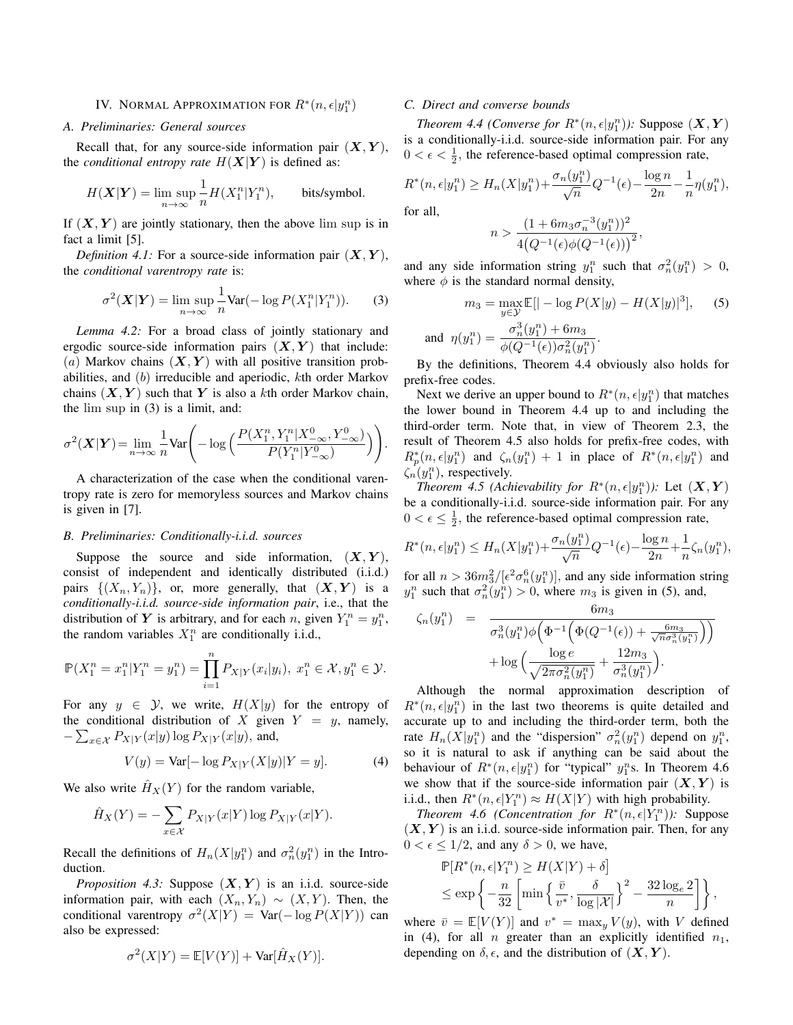## IV. NORMAL APPROXIMATION FOR  $R^*(n, \epsilon | y_1^n)$

### *A. Preliminaries: General sources*

Recall that, for any source-side information pair  $(X, Y)$ , the *conditional entropy rate*  $H(X|Y)$  is defined as:

$$
H(\boldsymbol{X}|\boldsymbol{Y}) = \limsup_{n \to \infty} \frac{1}{n} H(X_1^n|Y_1^n), \quad \text{bits/symbol}.
$$

If  $(X, Y)$  are jointly stationary, then the above lim sup is in fact a limit [5].

*Definition 4.1:* For a source-side information pair  $(X, Y)$ , the *conditional varentropy rate* is:

$$
\sigma^2(\mathbf{X}|\mathbf{Y}) = \limsup_{n \to \infty} \frac{1}{n} \text{Var}(-\log P(X_1^n|Y_1^n)). \tag{3}
$$

*Lemma 4.2:* For a broad class of jointly stationary and ergodic source-side information pairs  $(X, Y)$  that include: (a) Markov chains  $(X, Y)$  with all positive transition probabilities, and (b) irreducible and aperiodic, kth order Markov chains  $(X, Y)$  such that Y is also a kth order Markov chain, the lim sup in (3) is a limit, and:

$$
\sigma^2(\boldsymbol{X}|\boldsymbol{Y})\!=\!\lim_{n\to\infty}\frac{1}{n}\text{Var}\!\left(\!-\log\Big(\frac{P(X_1^n,Y_1^n|X_{-\infty}^0,Y_{-\infty}^0)}{P(Y_1^n|Y_{-\infty}^0)}\Big)\right)
$$

A characterization of the case when the conditional varentropy rate is zero for memoryless sources and Markov chains is given in [7].

## *B. Preliminaries: Conditionally-i.i.d. sources*

Suppose the source and side information,  $(X, Y)$ , consist of independent and identically distributed (i.i.d.) pairs  $\{(X_n, Y_n)\}\$ , or, more generally, that  $(\mathbf{X}, \mathbf{Y})$  is a *conditionally-i.i.d. source-side information pair*, i.e., that the distribution of Y is arbitrary, and for each n, given  $Y_1^n = y_1^n$ , the random variables  $X_1^n$  are conditionally i.i.d.,

$$
\mathbb{P}(X_1^n = x_1^n | Y_1^n = y_1^n) = \prod_{i=1}^n P_{X|Y}(x_i | y_i), \ x_1^n \in \mathcal{X}, y_1^n \in \mathcal{Y}.
$$

For any  $y \in Y$ , we write,  $H(X|y)$  for the entropy of the conditional distribution of X given  $Y = y$ , namely,  $-\sum_{x\in\mathcal{X}}P_{X|Y}(x|y)\log P_{X|Y}(x|y)$ , and,

$$
V(y) = \text{Var}[-\log P_{X|Y}(X|y)|Y = y].
$$
 (4)

We also write  $\hat{H}_X(Y)$  for the random variable,

$$
\hat{H}_X(Y) = -\sum_{x \in \mathcal{X}} P_{X|Y}(x|Y) \log P_{X|Y}(x|Y).
$$

Recall the definitions of  $H_n(X|y_1^n)$  and  $\sigma_n^2(y_1^n)$  in the Introduction.

*Proposition 4.3:* Suppose  $(X, Y)$  is an i.i.d. source-side information pair, with each  $(X_n, Y_n) \sim (X, Y)$ . Then, the conditional varentropy  $\sigma^2(X|Y) = \text{Var}(-\log P(X|Y))$  can also be expressed:

$$
\sigma^2(X|Y) = \mathbb{E}[V(Y)] + \text{Var}[\hat{H}_X(Y)].
$$

## *C. Direct and converse bounds*

*Theorem 4.4 (Converse for*  $R^*(n, \epsilon | y_1^n)$ ): Suppose  $(\mathbf{X}, \mathbf{Y})$ is a conditionally-i.i.d. source-side information pair. For any  $0 < \epsilon < \frac{1}{2}$ , the reference-based optimal compression rate,

$$
R^*(n, \epsilon | y_1^n) \ge H_n(X | y_1^n) + \frac{\sigma_n(y_1^n)}{\sqrt{n}} Q^{-1}(\epsilon) - \frac{\log n}{2n} - \frac{1}{n} \eta(y_1^n),
$$

for all,

.

$$
n > \frac{(1 + 6m_3\sigma_n^{-3}(y_1^n))^2}{4\big(Q^{-1}(\epsilon)\phi(Q^{-1}(\epsilon))\big)^2},
$$

and any side information string  $y_1^n$  such that  $\sigma_n^2(y_1^n) > 0$ , where  $\phi$  is the standard normal density,

$$
m_3 = \max_{y \in \mathcal{Y}} \mathbb{E}[| - \log P(X|y) - H(X|y)|^3], \quad (5)
$$

$$
\text{and}\;\; \eta(y_1^n)=\frac{\sigma_n^3(y_1^n)+6m_3}{\phi(Q^{-1}(\epsilon))\sigma_n^2(y_1^n)}.
$$

By the definitions, Theorem 4.4 obviously also holds for prefix-free codes.

Next we derive an upper bound to  $R^*(n, \epsilon | y_1^n)$  that matches the lower bound in Theorem 4.4 up to and including the third-order term. Note that, in view of Theorem 2.3, the result of Theorem 4.5 also holds for prefix-free codes, with  $R_p^*(n, \epsilon | y_1^n)$  and  $\zeta_n(y_1^n) + 1$  in place of  $R^*(n, \epsilon | y_1^n)$  and  $\zeta_n(y_1^n)$ , respectively.

*Theorem 4.5 (Achievability for*  $R^*(n, \epsilon | y_1^n)$ ): Let  $(\boldsymbol{X}, \boldsymbol{Y})$ be a conditionally-i.i.d. source-side information pair. For any  $0 < \epsilon \leq \frac{1}{2}$ , the reference-based optimal compression rate,

$$
R^*(n, \epsilon | y_1^n) \le H_n(X | y_1^n) + \frac{\sigma_n(y_1^n)}{\sqrt{n}} Q^{-1}(\epsilon) - \frac{\log n}{2n} + \frac{1}{n} \zeta_n(y_1^n),
$$

for all  $n > 36m_3^2/[\epsilon^2 \sigma_n^6(y_1^n)]$ , and any side information string  $y_1^n$  such that  $\sigma_n^2(y_1^n) > 0$ , where  $m_3$  is given in (5), and,

$$
\zeta_n(y_1^n) = \frac{6m_3}{\sigma_n^3(y_1^n)\phi(\Phi^{-1}(\Phi(Q^{-1}(\epsilon)) + \frac{6m_3}{\sqrt{n}\sigma_n^3(y_1^n)}))} + \log\left(\frac{\log e}{\sqrt{2\pi\sigma_n^2(y_1^n)}} + \frac{12m_3}{\sigma_n^3(y_1^n)}\right).
$$

Although the normal approximation description of  $R^*(n, \epsilon | y_1^n)$  in the last two theorems is quite detailed and accurate up to and including the third-order term, both the rate  $H_n(X|y_1^n)$  and the "dispersion"  $\sigma_n^2(y_1^n)$  depend on  $y_1^n$ , so it is natural to ask if anything can be said about the behaviour of  $R^*(n, \epsilon | y_1^n)$  for "typical"  $y_1^n$ s. In Theorem 4.6 we show that if the source-side information pair  $(X, Y)$  is i.i.d., then  $R^*(n, \epsilon|Y_1^n) \approx H(X|Y)$  with high probability.

*Theorem 4.6 (Concentration for*  $R^*(n, \epsilon|Y_1^n)$ ): Suppose  $(X, Y)$  is an i.i.d. source-side information pair. Then, for any  $0 < \epsilon \leq 1/2$ , and any  $\delta > 0$ , we have,

$$
\mathbb{P}[R^*(n, \epsilon|Y_1^n) \ge H(X|Y) + \delta]
$$
  
\n
$$
\le \exp\left\{-\frac{n}{32} \left[ \min\left\{\frac{\bar{v}}{v^*}, \frac{\delta}{\log |\mathcal{X}|}\right\}^2 - \frac{32 \log_e 2}{n} \right\} \right\},\
$$

where  $\bar{v} = \mathbb{E}[V(Y)]$  and  $v^* = \max_y V(y)$ , with V defined in (4), for all *n* greater than an explicitly identified  $n_1$ , depending on  $\delta$ ,  $\epsilon$ , and the distribution of  $(\mathbf{X}, \mathbf{Y})$ .